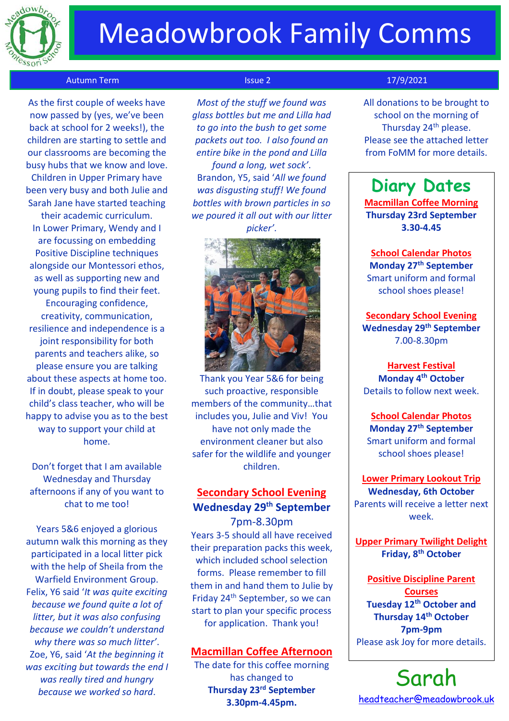

# Meadowbrook Family Comms

### Autumn Term Issue 2 17/9/2021

 As the first couple of weeks have now passed by (yes, we've been back at school for 2 weeks!), the children are starting to settle and our classrooms are becoming the busy hubs that we know and love. Children in Upper Primary have been very busy and both Julie and Sarah Jane have started teaching their academic curriculum. In Lower Primary, Wendy and I are focussing on embedding Positive Discipline techniques alongside our Montessori ethos, as well as supporting new and young pupils to find their feet. Encouraging confidence, creativity, communication, resilience and independence is a joint responsibility for both parents and teachers alike, so please ensure you are talking about these aspects at home too. If in doubt, please speak to your child's class teacher, who will be happy to advise you as to the best way to support your child at home.

Don't forget that I am available Wednesday and Thursday afternoons if any of you want to chat to me too!

Years 5&6 enjoyed a glorious autumn walk this morning as they participated in a local litter pick with the help of Sheila from the Warfield Environment Group. Felix, Y6 said '*It was quite exciting because we found quite a lot of litter, but it was also confusing because we couldn't understand why there was so much litter'*. Zoe, Y6, said '*At the beginning it was exciting but towards the end I was really tired and hungry because we worked so hard*.

*Most of the stuff we found was glass bottles but me and Lilla had to go into the bush to get some packets out too. I also found an entire bike in the pond and Lilla* 

*found a long, wet sock'*. Brandon, Y5, said '*All we found was disgusting stuff! We found bottles with brown particles in so we poured it all out with our litter picker'*.



Thank you Year 5&6 for being such proactive, responsible members of the community…that includes you, Julie and Viv! You have not only made the environment cleaner but also safer for the wildlife and younger children.

# **Secondary School Evening Wednesday 29th September**

7pm-8.30pm Years 3-5 should all have received their preparation packs this week, which included school selection forms. Please remember to fill them in and hand them to Julie by Friday 24th September, so we can start to plan your specific process for application. Thank you!

## **Macmillan Coffee Afternoon**

The date for this coffee morning has changed to **Thursday 23rd September 3.30pm-4.45pm.**

All donations to be brought to school on the morning of Thursday 24<sup>th</sup> please. Please see the attached letter from FoMM for more details.

# **Diary Dates**

**Macmillan Coffee Morning Thursday 23rd September 3.30-4.45**

**School Calendar Photos Monday 27th September**

Smart uniform and formal school shoes please!

**Secondary School Evening Wednesday 29 th September** 7.00-8.30pm

**Harvest Festival Monday 4 th October** Details to follow next week.

**School Calendar Photos Monday 27th September** Smart uniform and formal school shoes please!

## **Lower Primary Lookout Trip Wednesday, 6th October** Parents will receive a letter next week.

**Upper Primary Twilight Delight Friday, 8th October**

**Positive Discipline Parent Courses Tuesday 12th October and Thursday 14th October 7pm-9pm** Please ask Joy for more details.

Sarah [headteacher@meadowbrook.uk](mailto:headteacher@meadowbrook.uk)